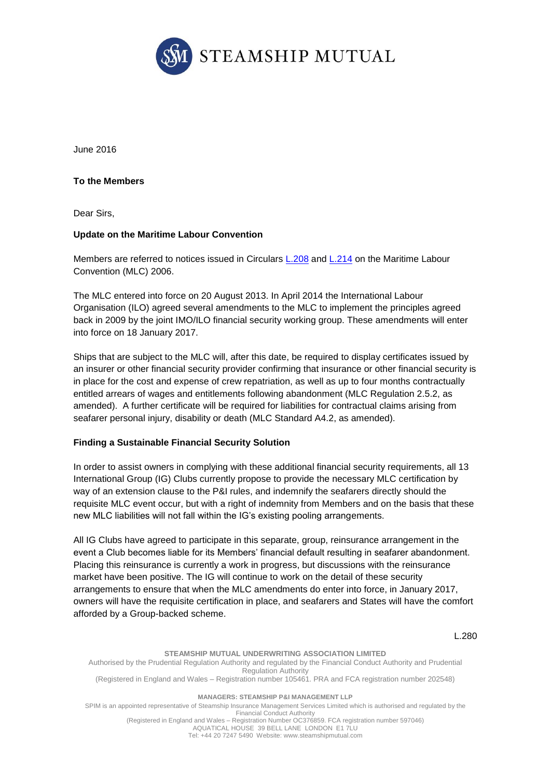

June 2016

**To the Members**

Dear Sirs,

## **Update on the Maritime Labour Convention**

Members are referred to notices issued in Circulars [L.208](http://www.steamshipmutual.com/Downloads/Circulars-London/L.208.pdf) and [L.214](http://www.steamshipmutual.com/Downloads/Circulars-London/L.214.pdf) on the Maritime Labour Convention (MLC) 2006.

The MLC entered into force on 20 August 2013. In April 2014 the International Labour Organisation (ILO) agreed several amendments to the MLC to implement the principles agreed back in 2009 by the joint IMO/ILO financial security working group. These amendments will enter into force on 18 January 2017.

Ships that are subject to the MLC will, after this date, be required to display certificates issued by an insurer or other financial security provider confirming that insurance or other financial security is in place for the cost and expense of crew repatriation, as well as up to four months contractually entitled arrears of wages and entitlements following abandonment (MLC Regulation 2.5.2, as amended). A further certificate will be required for liabilities for contractual claims arising from seafarer personal injury, disability or death (MLC Standard A4.2, as amended).

## **Finding a Sustainable Financial Security Solution**

In order to assist owners in complying with these additional financial security requirements, all 13 International Group (IG) Clubs currently propose to provide the necessary MLC certification by way of an extension clause to the P&I rules, and indemnify the seafarers directly should the requisite MLC event occur, but with a right of indemnity from Members and on the basis that these new MLC liabilities will not fall within the IG's existing pooling arrangements.

All IG Clubs have agreed to participate in this separate, group, reinsurance arrangement in the event a Club becomes liable for its Members' financial default resulting in seafarer abandonment. Placing this reinsurance is currently a work in progress, but discussions with the reinsurance market have been positive. The IG will continue to work on the detail of these security arrangements to ensure that when the MLC amendments do enter into force, in January 2017, owners will have the requisite certification in place, and seafarers and States will have the comfort afforded by a Group-backed scheme.

L.280

**STEAMSHIP MUTUAL UNDERWRITING ASSOCIATION LIMITED** Authorised by the Prudential Regulation Authority and regulated by the Financial Conduct Authority and Prudential Regulation Authority (Registered in England and Wales – Registration number 105461. PRA and FCA registration number 202548) **MANAGERS: STEAMSHIP P&I MANAGEMENT LLP** SPIM is an appointed representative of Steamship Insurance Management Services Limited which is authorised and regulated by the Financial Conduct Authority

(Registered in England and Wales – Registration Number OC376859. FCA registration number 597046) AQUATICAL HOUSE 39 BELL LANE LONDON E1 7LU Tel: +44 20 7247 5490 Website: [www.steamshipmutual.com](http://www.steamshipmutual.com/)